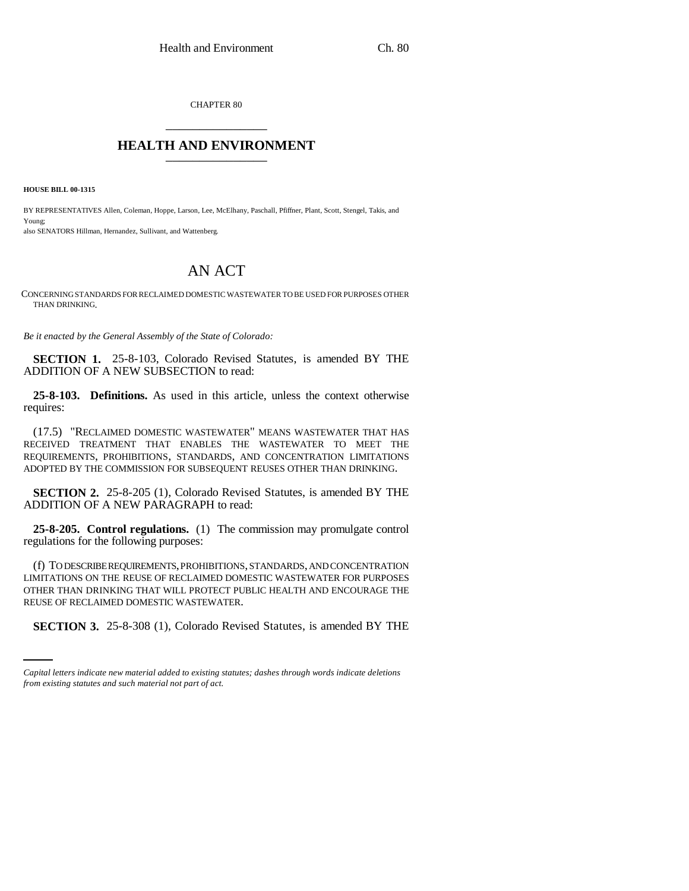CHAPTER 80 \_\_\_\_\_\_\_\_\_\_\_\_\_\_\_

## **HEALTH AND ENVIRONMENT** \_\_\_\_\_\_\_\_\_\_\_\_\_\_\_

**HOUSE BILL 00-1315** 

BY REPRESENTATIVES Allen, Coleman, Hoppe, Larson, Lee, McElhany, Paschall, Pfiffner, Plant, Scott, Stengel, Takis, and Young; also SENATORS Hillman, Hernandez, Sullivant, and Wattenberg.

## AN ACT

CONCERNING STANDARDS FOR RECLAIMED DOMESTIC WASTEWATER TO BE USED FOR PURPOSES OTHER THAN DRINKING.

*Be it enacted by the General Assembly of the State of Colorado:*

**SECTION 1.** 25-8-103, Colorado Revised Statutes, is amended BY THE ADDITION OF A NEW SUBSECTION to read:

**25-8-103. Definitions.** As used in this article, unless the context otherwise requires:

(17.5) "RECLAIMED DOMESTIC WASTEWATER" MEANS WASTEWATER THAT HAS RECEIVED TREATMENT THAT ENABLES THE WASTEWATER TO MEET THE REQUIREMENTS, PROHIBITIONS, STANDARDS, AND CONCENTRATION LIMITATIONS ADOPTED BY THE COMMISSION FOR SUBSEQUENT REUSES OTHER THAN DRINKING.

**SECTION 2.** 25-8-205 (1), Colorado Revised Statutes, is amended BY THE ADDITION OF A NEW PARAGRAPH to read:

**25-8-205. Control regulations.** (1) The commission may promulgate control regulations for the following purposes:

REUSE OF RECLAIMED DOMESTIC WASTEWATER. (f) TO DESCRIBE REQUIREMENTS, PROHIBITIONS, STANDARDS, AND CONCENTRATION LIMITATIONS ON THE REUSE OF RECLAIMED DOMESTIC WASTEWATER FOR PURPOSES OTHER THAN DRINKING THAT WILL PROTECT PUBLIC HEALTH AND ENCOURAGE THE

**SECTION 3.** 25-8-308 (1), Colorado Revised Statutes, is amended BY THE

*Capital letters indicate new material added to existing statutes; dashes through words indicate deletions from existing statutes and such material not part of act.*